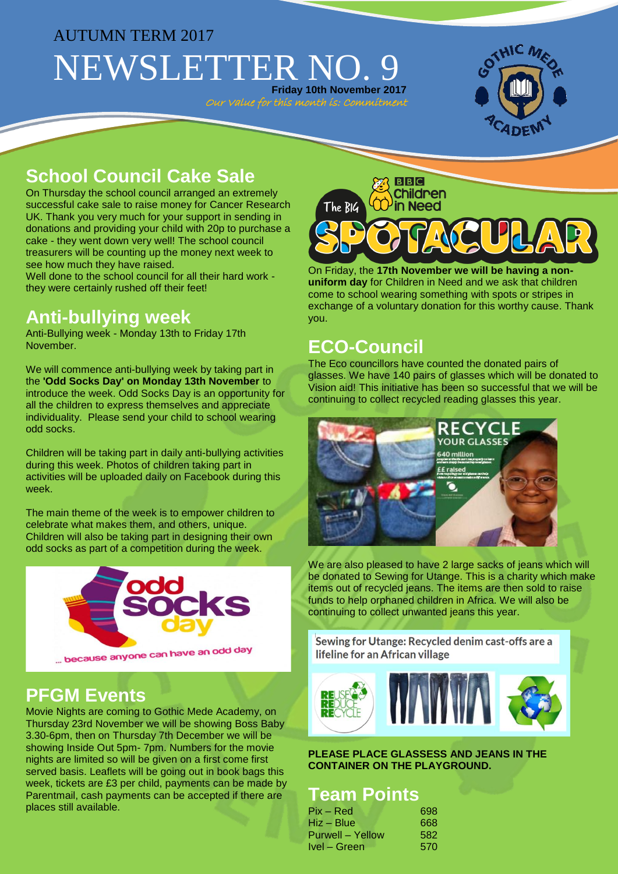# AUTUMN TERM 2017

NEWSLETTER NO. **Friday 10th November 2017**

Our Value for this month is: Commitment



# **School Council Cake Sale**

On Thursday the school council arranged an extremely successful cake sale to raise money for Cancer Research UK. Thank you very much for your support in sending in donations and providing your child with 20p to purchase a cake - they went down very well! The school council treasurers will be counting up the money next week to see how much they have raised.

Well done to the school council for all their hard work they were certainly rushed off their feet!

# **Anti-bullying week**

Anti-Bullying week - Monday 13th to Friday 17th November.

We will commence anti-bullying week by taking part in the **'Odd Socks Day' on Monday 13th November** to introduce the week. Odd Socks Day is an opportunity for all the children to express themselves and appreciate individuality. Please send your child to school wearing odd socks.

Children will be taking part in daily anti-bullying activities during this week. Photos of children taking part in activities will be uploaded daily on Facebook during this week.

The main theme of the week is to empower children to celebrate what makes them, and others, unique. Children will also be taking part in designing their own odd socks as part of a competition during the week.



### **PFGM Events**

Movie Nights are coming to Gothic Mede Academy, on Thursday 23rd November we will be showing Boss Baby 3.30-6pm, then on Thursday 7th December we will be showing Inside Out 5pm- 7pm. Numbers for the movie nights are limited so will be given on a first come first served basis. Leaflets will be going out in book bags this week, tickets are £3 per child, payments can be made by Parentmail, cash payments can be accepted if there are places still available.



On Friday, the **17th November we will be having a nonuniform day** for Children in Need and we ask that children come to school wearing something with spots or stripes in exchange of a voluntary donation for this worthy cause. Thank you.

# **ECO-Council**

The Eco councillors have counted the donated pairs of glasses. We have 140 pairs of glasses which will be donated to Vision aid! This initiative has been so successful that we will be continuing to collect recycled reading glasses this year.



We are also pleased to have 2 large sacks of jeans which will be donated to Sewing for Utange. This is a charity which make items out of recycled jeans. The items are then sold to raise funds to help orphaned children in Africa. We will also be continuing to collect unwanted jeans this year.

Sewing for Utange: Recycled denim cast-offs are a lifeline for an African village



**PLEASE PLACE GLASSESS AND JEANS IN THE CONTAINER ON THE PLAYGROUND.**

### **Team Points**

| Pix – Red        | 698 |
|------------------|-----|
| Hiz – Blue       | 668 |
| Purwell – Yellow | 582 |
| Ivel – Green     | 570 |